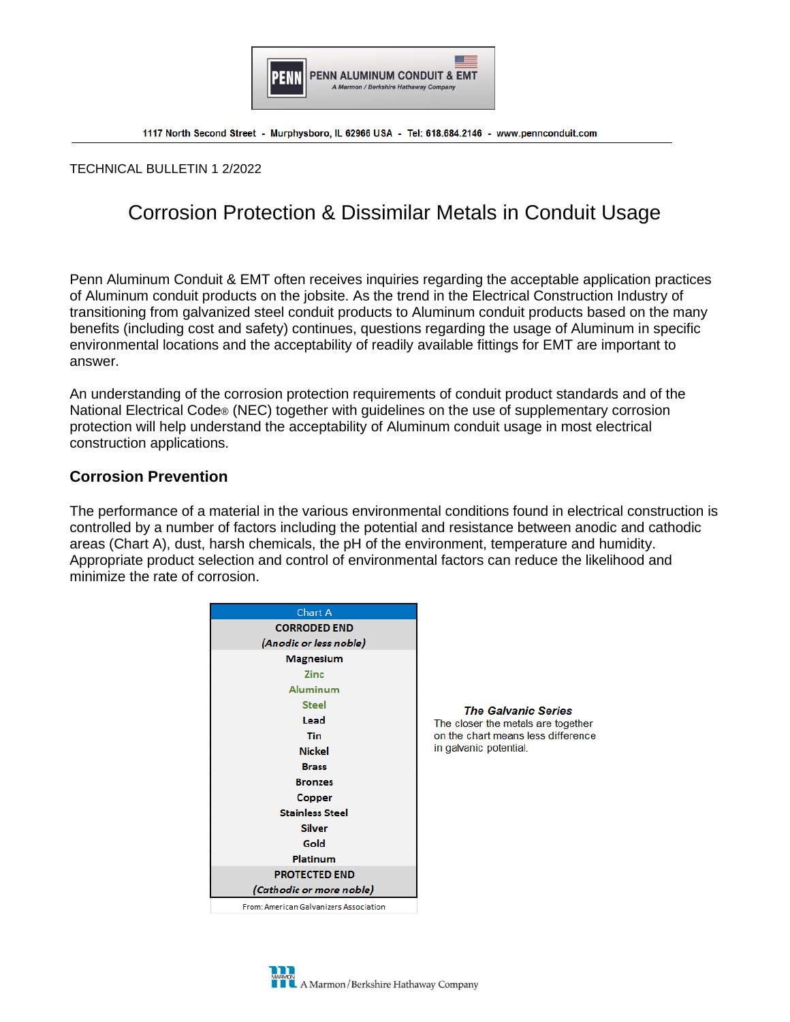

TECHNICAL BULLETIN 1 2/2022

# Corrosion Protection & Dissimilar Metals in Conduit Usage

Penn Aluminum Conduit & EMT often receives inquiries regarding the acceptable application practices of Aluminum conduit products on the jobsite. As the trend in the Electrical Construction Industry of transitioning from galvanized steel conduit products to Aluminum conduit products based on the many benefits (including cost and safety) continues, questions regarding the usage of Aluminum in specific environmental locations and the acceptability of readily available fittings for EMT are important to answer.

An understanding of the corrosion protection requirements of conduit product standards and of the National Electrical Code® (NEC) together with guidelines on the use of supplementary corrosion protection will help understand the acceptability of Aluminum conduit usage in most electrical construction applications.

## **Corrosion Prevention**

The performance of a material in the various environmental conditions found in electrical construction is controlled by a number of factors including the potential and resistance between anodic and cathodic areas (Chart A), dust, harsh chemicals, the pH of the environment, temperature and humidity. Appropriate product selection and control of environmental factors can reduce the likelihood and minimize the rate of corrosion.



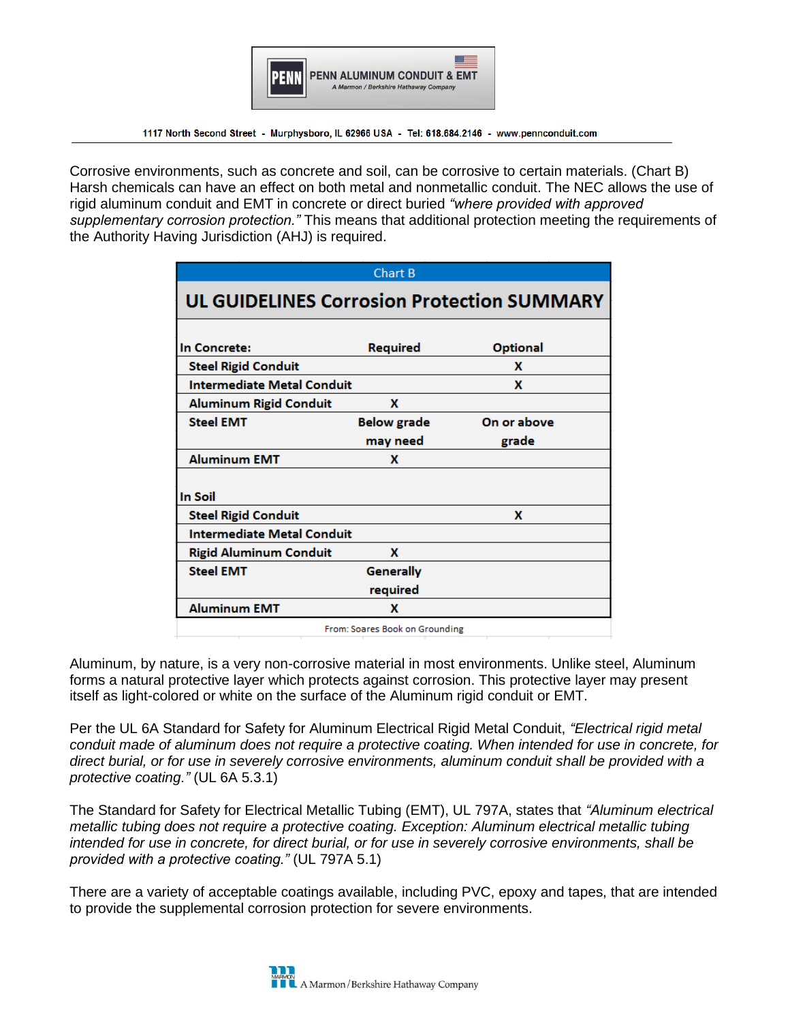

Corrosive environments, such as concrete and soil, can be corrosive to certain materials. (Chart B) Harsh chemicals can have an effect on both metal and nonmetallic conduit. The NEC allows the use of rigid aluminum conduit and EMT in concrete or direct buried *"where provided with approved supplementary corrosion protection."* This means that additional protection meeting the requirements of the Authority Having Jurisdiction (AHJ) is required.

|                                                   | Chart B                        |                 |  |  |  |  |  |  |  |
|---------------------------------------------------|--------------------------------|-----------------|--|--|--|--|--|--|--|
| <b>UL GUIDELINES Corrosion Protection SUMMARY</b> |                                |                 |  |  |  |  |  |  |  |
| In Concrete:                                      | Required                       | <b>Optional</b> |  |  |  |  |  |  |  |
| <b>Steel Rigid Conduit</b>                        |                                | x               |  |  |  |  |  |  |  |
| <b>Intermediate Metal Conduit</b>                 | x                              |                 |  |  |  |  |  |  |  |
| <b>Aluminum Rigid Conduit</b>                     | x                              |                 |  |  |  |  |  |  |  |
| <b>Steel EMT</b>                                  | <b>Below grade</b>             | On or above     |  |  |  |  |  |  |  |
|                                                   | may need                       | grade           |  |  |  |  |  |  |  |
| <b>Aluminum EMT</b>                               | x                              |                 |  |  |  |  |  |  |  |
| <b>In Soil</b>                                    |                                |                 |  |  |  |  |  |  |  |
| <b>Steel Rigid Conduit</b>                        |                                | x               |  |  |  |  |  |  |  |
| <b>Intermediate Metal Conduit</b>                 |                                |                 |  |  |  |  |  |  |  |
| <b>Rigid Aluminum Conduit</b>                     | x                              |                 |  |  |  |  |  |  |  |
| <b>Steel EMT</b>                                  | <b>Generally</b>               |                 |  |  |  |  |  |  |  |
| required                                          |                                |                 |  |  |  |  |  |  |  |
| <b>Aluminum EMT</b>                               | x                              |                 |  |  |  |  |  |  |  |
|                                                   | From: Soares Book on Grounding |                 |  |  |  |  |  |  |  |

Aluminum, by nature, is a very non-corrosive material in most environments. Unlike steel, Aluminum forms a natural protective layer which protects against corrosion. This protective layer may present itself as light-colored or white on the surface of the Aluminum rigid conduit or EMT.

Per the UL 6A Standard for Safety for Aluminum Electrical Rigid Metal Conduit, *"Electrical rigid metal conduit made of aluminum does not require a protective coating. When intended for use in concrete, for direct burial, or for use in severely corrosive environments, aluminum conduit shall be provided with a protective coating."* (UL 6A 5.3.1)

The Standard for Safety for Electrical Metallic Tubing (EMT), UL 797A, states that *"Aluminum electrical metallic tubing does not require a protective coating. Exception: Aluminum electrical metallic tubing intended for use in concrete, for direct burial, or for use in severely corrosive environments, shall be provided with a protective coating."* (UL 797A 5.1)

There are a variety of acceptable coatings available, including PVC, epoxy and tapes, that are intended to provide the supplemental corrosion protection for severe environments.